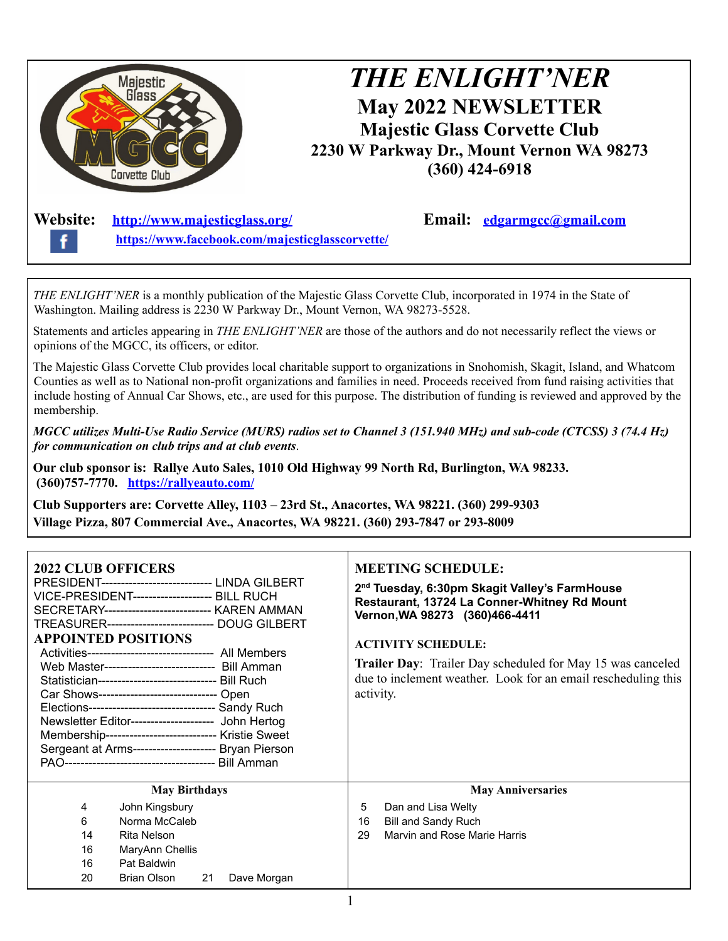

*THE ENLIGHT'NER* is a monthly publication of the Majestic Glass Corvette Club, incorporated in 1974 in the State of Washington. Mailing address is 2230 W Parkway Dr., Mount Vernon, WA 98273-5528.

Statements and articles appearing in *THE ENLIGHT'NER* are those of the authors and do not necessarily reflect the views or opinions of the MGCC, its officers, or editor.

The Majestic Glass Corvette Club provides local charitable support to organizations in Snohomish, Skagit, Island, and Whatcom Counties as well as to National non-profit organizations and families in need. Proceeds received from fund raising activities that include hosting of Annual Car Shows, etc., are used for this purpose. The distribution of funding is reviewed and approved by the membership.

*MGCC utilizes Multi-Use Radio Service (MURS) radios set to Channel 3 (151.940 MHz) and sub-code (CTCSS) 3 (74.4 Hz) for communication on club trips and at club events*.

**Our club sponsor is: Rallye Auto Sales, 1010 Old Highway 99 North Rd, Burlington, WA 98233. (360)757-7770. <https://rallyeauto.com/>**

**Club Supporters are: Corvette Alley, 1103 – 23rd St., Anacortes, WA 98221. (360) 299-9303 Village Pizza, 807 Commercial Ave., Anacortes, WA 98221. (360) 293-7847 or 293-8009**

## **2022 CLUB OFFICERS**

| PRESIDENT----------------------------- LINDA GILBERT<br>VICE-PRESIDENT--------------------- BILL RUCH<br>SECRETARY---------------------------- KAREN AMMAN<br>TREASURER--------------------------- DOUG GILBERT<br><b>APPOINTED POSITIONS</b><br>Activities------------------------------- All Members<br>Web Master--------------------------- Bill Amman<br>Statistician------------------------------ Bill Ruch<br>Car Shows----------------------------- Open<br>Elections-------------------------------- Sandy Ruch<br>Newsletter Editor--------------------- John Hertog<br>Membership---------------------------- Kristie Sweet<br>Sergeant at Arms--------------------- Bryan Pierson | 2 <sup>nd</sup> Tuesday, 6:30pm Skagit Valley's FarmHouse<br>Restaurant, 13724 La Conner-Whitney Rd Mount<br>Vernon, WA 98273 (360) 466-4411<br><b>ACTIVITY SCHEDULE:</b><br><b>Trailer Day:</b> Trailer Day scheduled for May 15 was canceled<br>due to inclement weather. Look for an email rescheduling this<br>activity. |
|------------------------------------------------------------------------------------------------------------------------------------------------------------------------------------------------------------------------------------------------------------------------------------------------------------------------------------------------------------------------------------------------------------------------------------------------------------------------------------------------------------------------------------------------------------------------------------------------------------------------------------------------------------------------------------------------|------------------------------------------------------------------------------------------------------------------------------------------------------------------------------------------------------------------------------------------------------------------------------------------------------------------------------|
| <b>May Birthdays</b>                                                                                                                                                                                                                                                                                                                                                                                                                                                                                                                                                                                                                                                                           | <b>May Anniversaries</b>                                                                                                                                                                                                                                                                                                     |
| John Kingsbury<br>4                                                                                                                                                                                                                                                                                                                                                                                                                                                                                                                                                                                                                                                                            | 5<br>Dan and Lisa Welty                                                                                                                                                                                                                                                                                                      |
| 6<br>Norma McCaleb                                                                                                                                                                                                                                                                                                                                                                                                                                                                                                                                                                                                                                                                             | <b>Bill and Sandy Ruch</b><br>16                                                                                                                                                                                                                                                                                             |
| 14<br><b>Rita Nelson</b>                                                                                                                                                                                                                                                                                                                                                                                                                                                                                                                                                                                                                                                                       | Marvin and Rose Marie Harris<br>29                                                                                                                                                                                                                                                                                           |
| 16<br>MaryAnn Chellis                                                                                                                                                                                                                                                                                                                                                                                                                                                                                                                                                                                                                                                                          |                                                                                                                                                                                                                                                                                                                              |
| 16<br>Pat Baldwin                                                                                                                                                                                                                                                                                                                                                                                                                                                                                                                                                                                                                                                                              |                                                                                                                                                                                                                                                                                                                              |
| 20<br>Brian Olson<br>21<br>Dave Morgan                                                                                                                                                                                                                                                                                                                                                                                                                                                                                                                                                                                                                                                         |                                                                                                                                                                                                                                                                                                                              |

**MEETING SCHEDULE:**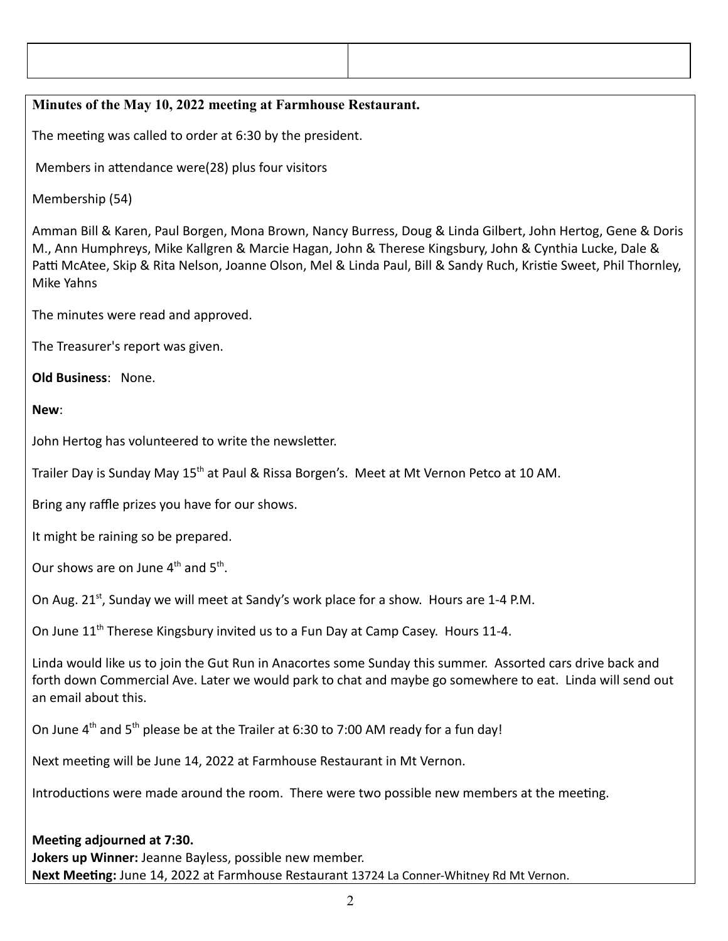## **Minutes of the May 10, 2022 meeting at Farmhouse Restaurant.**

The meeting was called to order at 6:30 by the president.

Members in attendance were(28) plus four visitors

Membership (54)

Amman Bill & Karen, Paul Borgen, Mona Brown, Nancy Burress, Doug & Linda Gilbert, John Hertog, Gene & Doris M., Ann Humphreys, Mike Kallgren & Marcie Hagan, John & Therese Kingsbury, John & Cynthia Lucke, Dale & Patti McAtee, Skip & Rita Nelson, Joanne Olson, Mel & Linda Paul, Bill & Sandy Ruch, Kristie Sweet, Phil Thornley, Mike Yahns

The minutes were read and approved.

The Treasurer's report was given.

**Old Business**: None.

**New**:

John Hertog has volunteered to write the newsletter.

Trailer Day is Sunday May 15<sup>th</sup> at Paul & Rissa Borgen's. Meet at Mt Vernon Petco at 10 AM.

Bring any raffle prizes you have for our shows.

It might be raining so be prepared.

Our shows are on June  $4^{th}$  and  $5^{th}$ .

On Aug. 21<sup>st</sup>, Sunday we will meet at Sandy's work place for a show. Hours are 1-4 P.M.

On June 11<sup>th</sup> Therese Kingsbury invited us to a Fun Day at Camp Casey. Hours 11-4.

Linda would like us to join the Gut Run in Anacortes some Sunday this summer. Assorted cars drive back and forth down Commercial Ave. Later we would park to chat and maybe go somewhere to eat. Linda will send out an email about this.

On June  $4<sup>th</sup>$  and  $5<sup>th</sup>$  please be at the Trailer at 6:30 to 7:00 AM ready for a fun day!

Next meeting will be June 14, 2022 at Farmhouse Restaurant in Mt Vernon.

Introductions were made around the room. There were two possible new members at the meeting.

**Meeting adjourned at 7:30. Jokers up Winner:** Jeanne Bayless, possible new member. Next Meeting: June 14, 2022 at Farmhouse Restaurant 13724 La Conner-Whitney Rd Mt Vernon.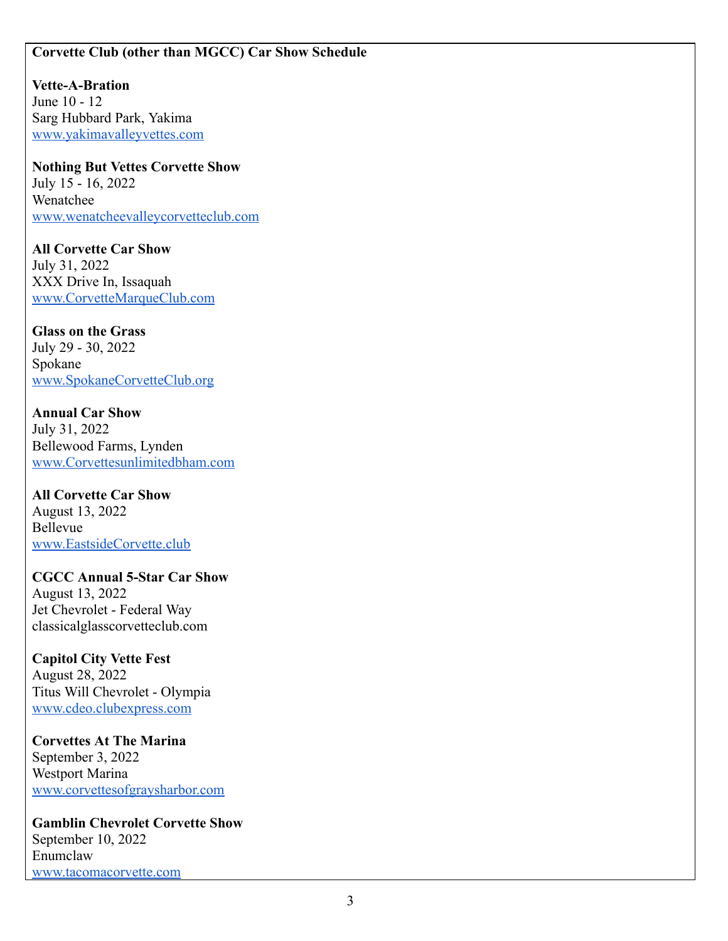## **Corvette Club (other than MGCC) Car Show Schedule**

**Vette-A-Bration** June 10 - 12 Sarg Hubbard Park, Yakima [www.yakimavalleyvettes.com](http://www.yakimavalleyvettes.com/)

**Nothing But Vettes Corvette Show** July 15 - 16, 2022 Wenatchee [www.wenatcheevalleycorvetteclub.com](http://www.wenatcheevalleycorvetteclub.com/)

**All Corvette Car Show** July 31, 2022 XXX Drive In, Issaquah [www.CorvetteMarqueClub.com](http://www.corvettemarqueclub.com/)

**Glass on the Grass** July 29 - 30, 2022 Spokane [www.SpokaneCorvetteClub.org](http://www.spokanecorvetteclub.org/)

**Annual Car Show** July 31, 2022 Bellewood Farms, Lynden [www.Corvettesunlimitedbham.com](http://www.corvettesunlimitedbham.com/)

**All Corvette Car Show** August 13, 2022 Bellevue [www.EastsideCorvette.club](http://www.eastsidecorvette.club/)

**CGCC Annual 5-Star Car Show** August 13, 2022 Jet Chevrolet - Federal Way classicalglasscorvetteclub.com

**Capitol City Vette Fest** August 28, 2022 Titus Will Chevrolet - Olympia [www.cdeo.clubexpress.com](http://www.cdeo.clubexpress.com/)

**Corvettes At The Marina** September 3, 2022 Westport Marina [www.corvettesofgraysharbor.com](http://www.corvettesofgraysharbor.com/)

**Gamblin Chevrolet Corvette Show** September 10, 2022 Enumclaw [www.tacomacorvette.com](http://www.tacomacorvette.com/)